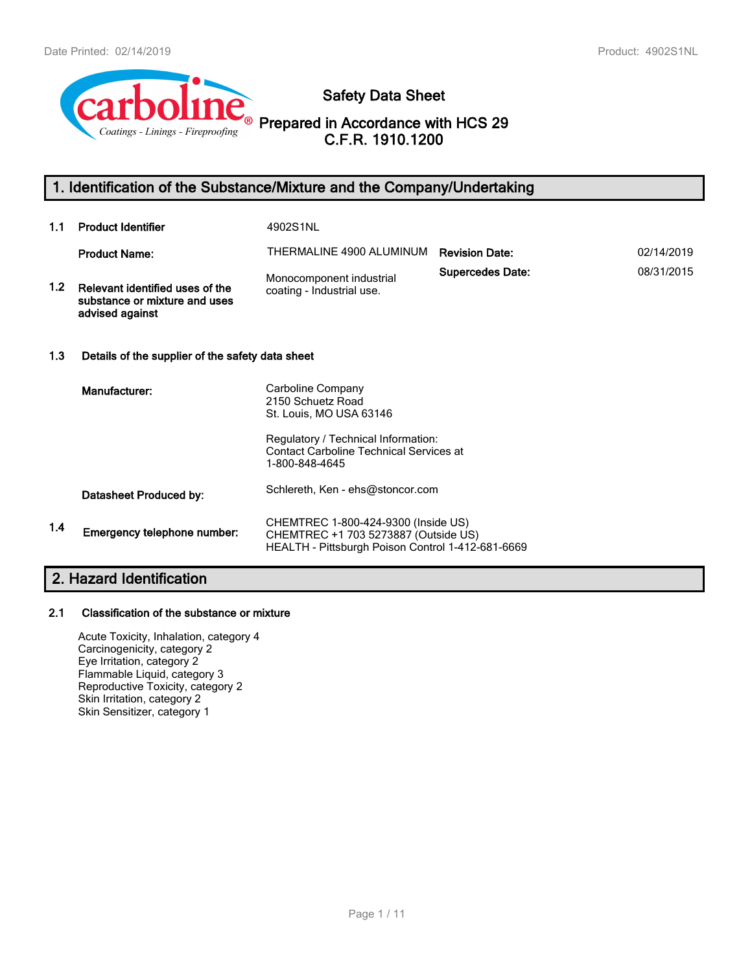

**Safety Data Sheet**

**Prepared in Accordance with HCS 29 C.F.R. 1910.1200**

## **1. Identification of the Substance/Mixture and the Company/Undertaking**

| 1.1              | <b>Product Identifier</b>                                                           | 4902S1NL                                                                                                                         |                         |            |
|------------------|-------------------------------------------------------------------------------------|----------------------------------------------------------------------------------------------------------------------------------|-------------------------|------------|
|                  | <b>Product Name:</b>                                                                | THERMALINE 4900 ALUMINUM                                                                                                         | <b>Revision Date:</b>   | 02/14/2019 |
| 1.2 <sub>1</sub> | Relevant identified uses of the<br>substance or mixture and uses<br>advised against | Monocomponent industrial<br>coating - Industrial use.                                                                            | <b>Supercedes Date:</b> | 08/31/2015 |
| 1.3              | Details of the supplier of the safety data sheet                                    |                                                                                                                                  |                         |            |
|                  | Manufacturer:                                                                       | Carboline Company<br>2150 Schuetz Road<br>St. Louis, MO USA 63146                                                                |                         |            |
|                  |                                                                                     | Regulatory / Technical Information:<br><b>Contact Carboline Technical Services at</b><br>1-800-848-4645                          |                         |            |
|                  | Datasheet Produced by:                                                              | Schlereth, Ken - ehs@stoncor.com                                                                                                 |                         |            |
| 1.4              | Emergency telephone number:                                                         | CHEMTREC 1-800-424-9300 (Inside US)<br>CHEMTREC +1 703 5273887 (Outside US)<br>HEALTH - Pittsburgh Poison Control 1-412-681-6669 |                         |            |

## **2. Hazard Identification**

#### **2.1 Classification of the substance or mixture**

Acute Toxicity, Inhalation, category 4 Carcinogenicity, category 2 Eye Irritation, category 2 Flammable Liquid, category 3 Reproductive Toxicity, category 2 Skin Irritation, category 2 Skin Sensitizer, category 1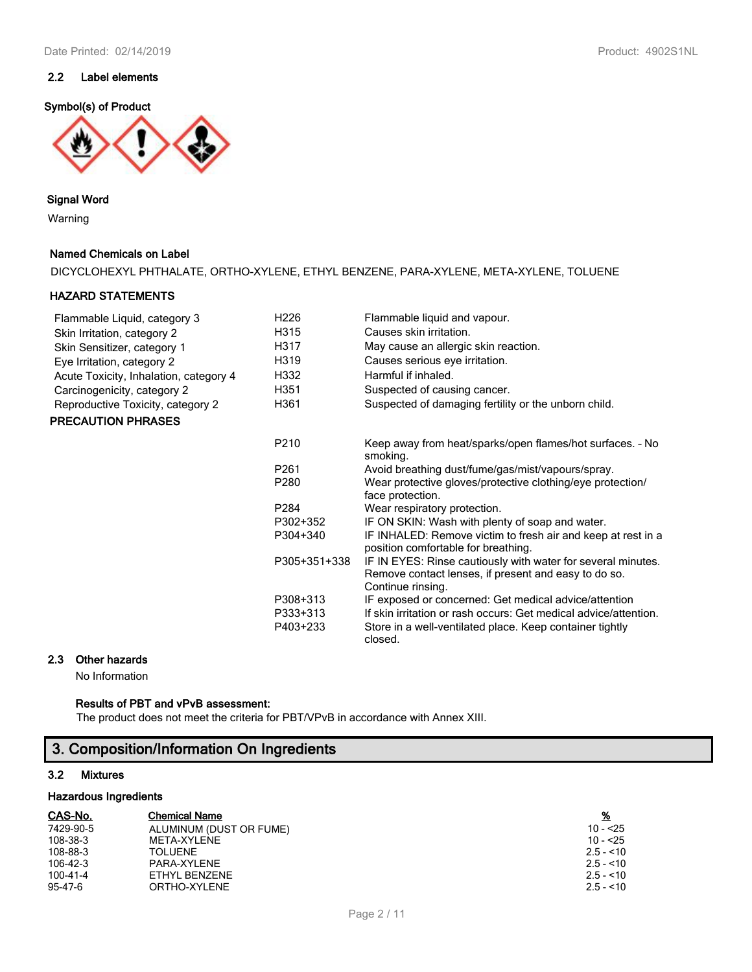## **2.2 Label elements**

## **Symbol(s) of Product**



#### **Signal Word**

Warning

#### **Named Chemicals on Label**

DICYCLOHEXYL PHTHALATE, ORTHO-XYLENE, ETHYL BENZENE, PARA-XYLENE, META-XYLENE, TOLUENE

### **HAZARD STATEMENTS**

| Flammable Liquid, category 3           | H <sub>226</sub> | Flammable liquid and vapour.                                                                                                              |
|----------------------------------------|------------------|-------------------------------------------------------------------------------------------------------------------------------------------|
| Skin Irritation, category 2            | H315             | Causes skin irritation.                                                                                                                   |
| Skin Sensitizer, category 1            | H317             | May cause an allergic skin reaction.                                                                                                      |
| Eye Irritation, category 2             | H319             | Causes serious eye irritation.                                                                                                            |
| Acute Toxicity, Inhalation, category 4 | H332             | Harmful if inhaled.                                                                                                                       |
| Carcinogenicity, category 2            | H351             | Suspected of causing cancer.                                                                                                              |
| Reproductive Toxicity, category 2      | H361             | Suspected of damaging fertility or the unborn child.                                                                                      |
| <b>PRECAUTION PHRASES</b>              |                  |                                                                                                                                           |
|                                        | P210             | Keep away from heat/sparks/open flames/hot surfaces. - No<br>smoking.                                                                     |
|                                        | P <sub>261</sub> | Avoid breathing dust/fume/gas/mist/vapours/spray.                                                                                         |
|                                        | P280             | Wear protective gloves/protective clothing/eye protection/<br>face protection.                                                            |
|                                        | P <sub>284</sub> | Wear respiratory protection.                                                                                                              |
|                                        | P302+352         | IF ON SKIN: Wash with plenty of soap and water.                                                                                           |
|                                        | P304+340         | IF INHALED: Remove victim to fresh air and keep at rest in a<br>position comfortable for breathing.                                       |
|                                        | P305+351+338     | IF IN EYES: Rinse cautiously with water for several minutes.<br>Remove contact lenses, if present and easy to do so.<br>Continue rinsing. |
|                                        | P308+313         | IF exposed or concerned: Get medical advice/attention                                                                                     |
|                                        | P333+313         | If skin irritation or rash occurs: Get medical advice/attention.                                                                          |
|                                        | P403+233         | Store in a well-ventilated place. Keep container tightly<br>closed.                                                                       |

## **2.3 Other hazards**

No Information

### **Results of PBT and vPvB assessment:**

The product does not meet the criteria for PBT/VPvB in accordance with Annex XIII.

## **3. Composition/Information On Ingredients**

#### **3.2 Mixtures**

#### **Hazardous Ingredients**

| CAS-No.        | <b>Chemical Name</b>    | <u>%</u>   |
|----------------|-------------------------|------------|
| 7429-90-5      | ALUMINUM (DUST OR FUME) | $10 - 25$  |
| 108-38-3       | META-XYLENE             | 10 - <25   |
| 108-88-3       | <b>TOLUENE</b>          | $2.5 - 10$ |
| $106 - 42 - 3$ | PARA-XYLENE             | $2.5 - 10$ |
| 100-41-4       | ETHYL BENZENE           | $2.5 - 10$ |
| 95-47-6        | ORTHO-XYLENE            | $2.5 - 10$ |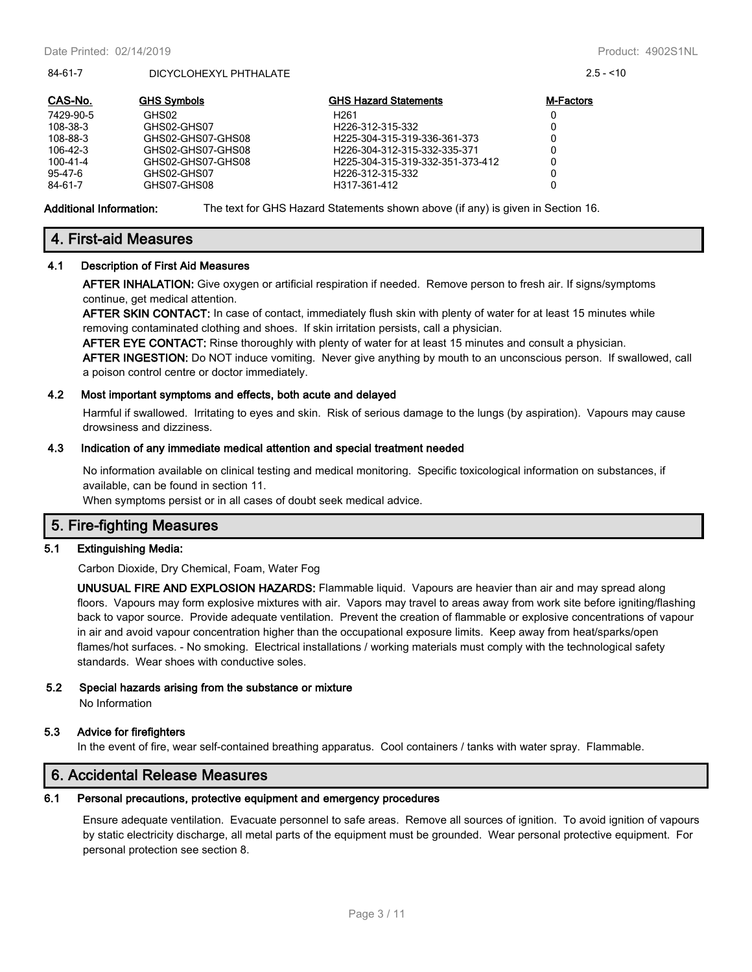#### 84-61-7 DICYCLOHEXYL PHTHALATE 2.5 - <10

| CAS-No.   | <b>GHS Symbols</b> | <b>GHS Hazard Statements</b>     | <b>M-Factors</b> |
|-----------|--------------------|----------------------------------|------------------|
| 7429-90-5 | GHS02              | H <sub>261</sub>                 | 0                |
| 108-38-3  | GHS02-GHS07        | H <sub>226</sub> -312-315-332    | 0                |
| 108-88-3  | GHS02-GHS07-GHS08  | H225-304-315-319-336-361-373     | 0                |
| 106-42-3  | GHS02-GHS07-GHS08  | H226-304-312-315-332-335-371     | 0                |
| 100-41-4  | GHS02-GHS07-GHS08  | H225-304-315-319-332-351-373-412 | 0                |
| 95-47-6   | GHS02-GHS07        | H <sub>226</sub> -312-315-332    | 0                |
| 84-61-7   | GHS07-GHS08        | H317-361-412                     | 0                |

**Additional Information:** The text for GHS Hazard Statements shown above (if any) is given in Section 16.

## **4. First-aid Measures**

#### **4.1 Description of First Aid Measures**

**AFTER INHALATION:** Give oxygen or artificial respiration if needed. Remove person to fresh air. If signs/symptoms continue, get medical attention.

**AFTER SKIN CONTACT:** In case of contact, immediately flush skin with plenty of water for at least 15 minutes while removing contaminated clothing and shoes. If skin irritation persists, call a physician.

**AFTER EYE CONTACT:** Rinse thoroughly with plenty of water for at least 15 minutes and consult a physician. **AFTER INGESTION:** Do NOT induce vomiting. Never give anything by mouth to an unconscious person. If swallowed, call a poison control centre or doctor immediately.

#### **4.2 Most important symptoms and effects, both acute and delayed**

Harmful if swallowed. Irritating to eyes and skin. Risk of serious damage to the lungs (by aspiration). Vapours may cause drowsiness and dizziness.

#### **4.3 Indication of any immediate medical attention and special treatment needed**

No information available on clinical testing and medical monitoring. Specific toxicological information on substances, if available, can be found in section 11.

When symptoms persist or in all cases of doubt seek medical advice.

## **5. Fire-fighting Measures**

#### **5.1 Extinguishing Media:**

Carbon Dioxide, Dry Chemical, Foam, Water Fog

**UNUSUAL FIRE AND EXPLOSION HAZARDS:** Flammable liquid. Vapours are heavier than air and may spread along floors. Vapours may form explosive mixtures with air. Vapors may travel to areas away from work site before igniting/flashing back to vapor source. Provide adequate ventilation. Prevent the creation of flammable or explosive concentrations of vapour in air and avoid vapour concentration higher than the occupational exposure limits. Keep away from heat/sparks/open flames/hot surfaces. - No smoking. Electrical installations / working materials must comply with the technological safety standards. Wear shoes with conductive soles.

#### **5.2 Special hazards arising from the substance or mixture**

No Information

#### **5.3 Advice for firefighters**

In the event of fire, wear self-contained breathing apparatus. Cool containers / tanks with water spray. Flammable.

## **6. Accidental Release Measures**

#### **6.1 Personal precautions, protective equipment and emergency procedures**

Ensure adequate ventilation. Evacuate personnel to safe areas. Remove all sources of ignition. To avoid ignition of vapours by static electricity discharge, all metal parts of the equipment must be grounded. Wear personal protective equipment. For personal protection see section 8.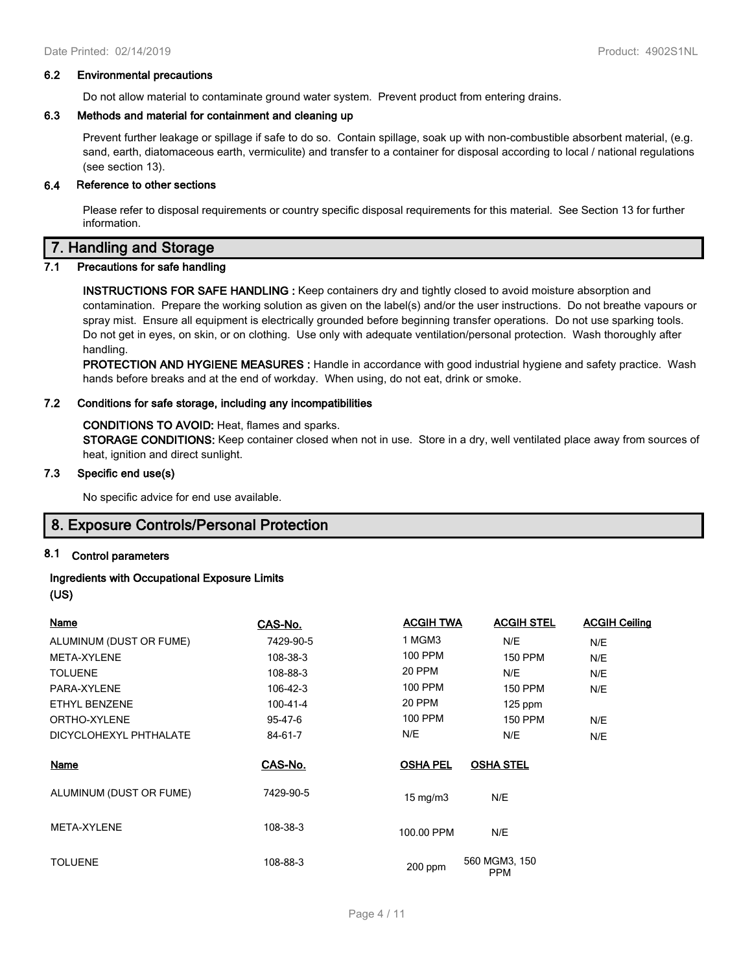#### **6.2 Environmental precautions**

Do not allow material to contaminate ground water system. Prevent product from entering drains.

#### **6.3 Methods and material for containment and cleaning up**

Prevent further leakage or spillage if safe to do so. Contain spillage, soak up with non-combustible absorbent material, (e.g. sand, earth, diatomaceous earth, vermiculite) and transfer to a container for disposal according to local / national regulations (see section 13).

#### **6.4 Reference to other sections**

Please refer to disposal requirements or country specific disposal requirements for this material. See Section 13 for further information.

## **7. Handling and Storage**

### **7.1 Precautions for safe handling**

**INSTRUCTIONS FOR SAFE HANDLING :** Keep containers dry and tightly closed to avoid moisture absorption and contamination. Prepare the working solution as given on the label(s) and/or the user instructions. Do not breathe vapours or spray mist. Ensure all equipment is electrically grounded before beginning transfer operations. Do not use sparking tools. Do not get in eyes, on skin, or on clothing. Use only with adequate ventilation/personal protection. Wash thoroughly after handling.

**PROTECTION AND HYGIENE MEASURES :** Handle in accordance with good industrial hygiene and safety practice. Wash hands before breaks and at the end of workday. When using, do not eat, drink or smoke.

#### **7.2 Conditions for safe storage, including any incompatibilities**

#### **CONDITIONS TO AVOID:** Heat, flames and sparks.

**STORAGE CONDITIONS:** Keep container closed when not in use. Store in a dry, well ventilated place away from sources of heat, ignition and direct sunlight.

#### **7.3 Specific end use(s)**

No specific advice for end use available.

## **8. Exposure Controls/Personal Protection**

#### **8.1 Control parameters**

### **Ingredients with Occupational Exposure Limits**

**(US)**

| <b>Name</b>             | CAS-No.   | <b>ACGIH TWA</b> | <b>ACGIH STEL</b>    | <b>ACGIH Ceiling</b> |
|-------------------------|-----------|------------------|----------------------|----------------------|
| ALUMINUM (DUST OR FUME) | 7429-90-5 | 1 MGM3           | N/E                  | N/E                  |
| META-XYLENE             | 108-38-3  | 100 PPM          | <b>150 PPM</b>       | N/E                  |
| <b>TOLUENE</b>          | 108-88-3  | 20 PPM           | N/E                  | N/E                  |
| PARA-XYLENE             | 106-42-3  | 100 PPM          | 150 PPM              | N/E                  |
| ETHYL BENZENE           | 100-41-4  | 20 PPM           | $125$ ppm            |                      |
| ORTHO-XYLENE            | 95-47-6   | 100 PPM          | <b>150 PPM</b>       | N/E                  |
| DICYCLOHEXYL PHTHALATE  | 84-61-7   | N/E              | N/E                  | N/E                  |
| Name                    | CAS-No.   | <b>OSHA PEL</b>  | <b>OSHA STEL</b>     |                      |
| ALUMINUM (DUST OR FUME) | 7429-90-5 | $15$ mg/m $3$    | N/E                  |                      |
| META-XYLENE             | 108-38-3  | 100.00 PPM       | N/E                  |                      |
| <b>TOLUENE</b>          | 108-88-3  | 200 ppm          | 560 MGM3, 150<br>PPM |                      |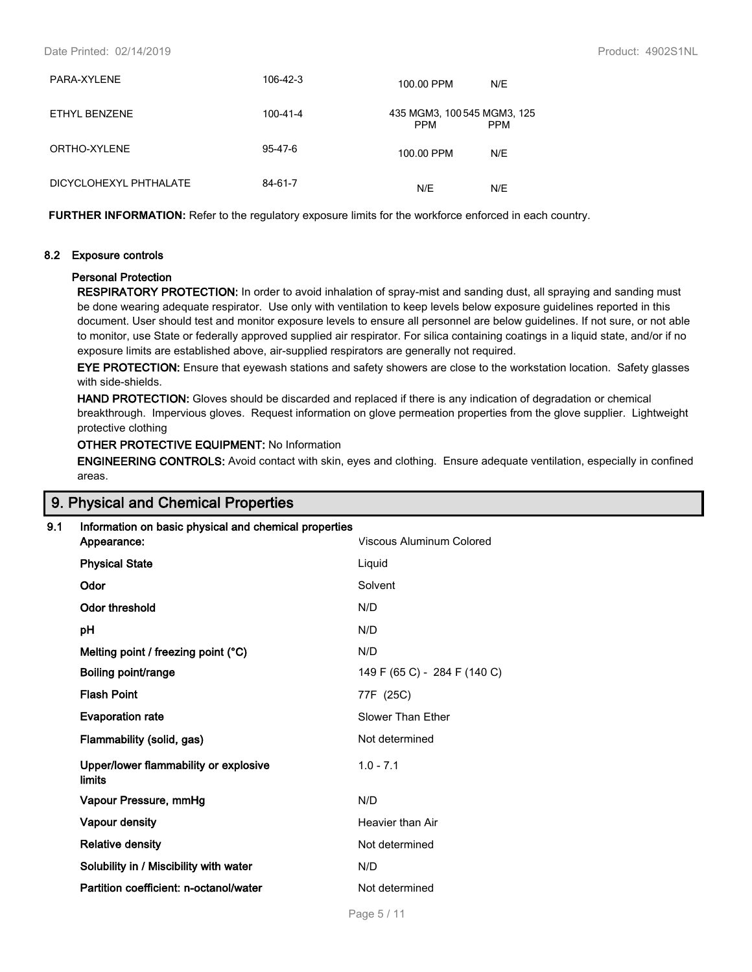#### Date Printed: 02/14/2019 Product: 4902S1NL

| PARA-XYLENE            | 106-42-3 | 100.00 PPM<br>N/E                                       |  |
|------------------------|----------|---------------------------------------------------------|--|
| ETHYL BENZENE          | 100-41-4 | 435 MGM3, 100 545 MGM3, 125<br><b>PPM</b><br><b>PPM</b> |  |
| ORTHO-XYLENE           | 95-47-6  | N/E<br>100.00 PPM                                       |  |
| DICYCLOHEXYL PHTHALATE | 84-61-7  | N/E<br>N/E                                              |  |

**FURTHER INFORMATION:** Refer to the regulatory exposure limits for the workforce enforced in each country.

#### **8.2 Exposure controls**

#### **Personal Protection**

**RESPIRATORY PROTECTION:** In order to avoid inhalation of spray-mist and sanding dust, all spraying and sanding must be done wearing adequate respirator. Use only with ventilation to keep levels below exposure guidelines reported in this document. User should test and monitor exposure levels to ensure all personnel are below guidelines. If not sure, or not able to monitor, use State or federally approved supplied air respirator. For silica containing coatings in a liquid state, and/or if no exposure limits are established above, air-supplied respirators are generally not required.

**EYE PROTECTION:** Ensure that eyewash stations and safety showers are close to the workstation location. Safety glasses with side-shields.

**HAND PROTECTION:** Gloves should be discarded and replaced if there is any indication of degradation or chemical breakthrough. Impervious gloves. Request information on glove permeation properties from the glove supplier. Lightweight protective clothing

#### **OTHER PROTECTIVE EQUIPMENT:** No Information

**ENGINEERING CONTROLS:** Avoid contact with skin, eyes and clothing. Ensure adequate ventilation, especially in confined areas.

## **9. Physical and Chemical Properties**

| 9.1 | Information on basic physical and chemical properties<br>Appearance: | Viscous Aluminum Colored     |
|-----|----------------------------------------------------------------------|------------------------------|
|     | <b>Physical State</b>                                                | Liquid                       |
|     | Odor                                                                 | Solvent                      |
|     | <b>Odor threshold</b>                                                | N/D                          |
|     | рH                                                                   | N/D                          |
|     | Melting point / freezing point (°C)                                  | N/D                          |
|     | Boiling point/range                                                  | 149 F (65 C) - 284 F (140 C) |
|     | <b>Flash Point</b>                                                   | 77F (25C)                    |
|     | <b>Evaporation rate</b>                                              | Slower Than Ether            |
|     | Flammability (solid, gas)                                            | Not determined               |
|     | Upper/lower flammability or explosive<br>limits                      | $1.0 - 7.1$                  |
|     | Vapour Pressure, mmHg                                                | N/D                          |
|     | Vapour density                                                       | Heavier than Air             |
|     | <b>Relative density</b>                                              | Not determined               |
|     | Solubility in / Miscibility with water                               | N/D                          |
|     | Partition coefficient: n-octanol/water                               | Not determined               |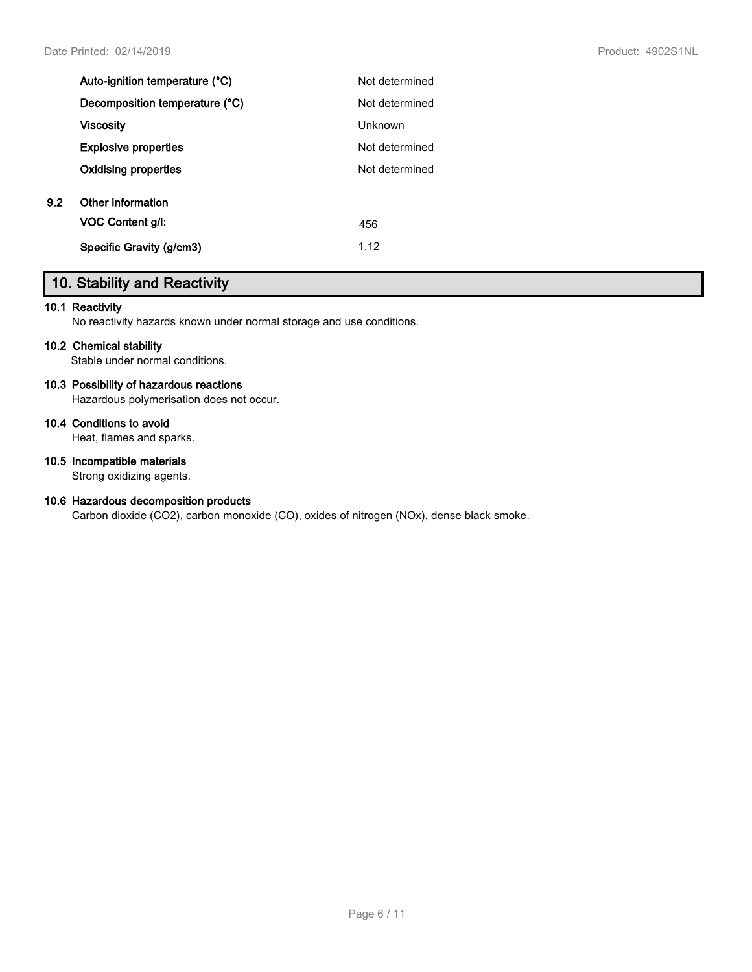|     | Auto-ignition temperature (°C) | Not determined |
|-----|--------------------------------|----------------|
|     | Decomposition temperature (°C) | Not determined |
|     | <b>Viscosity</b>               | <b>Unknown</b> |
|     | <b>Explosive properties</b>    | Not determined |
|     | <b>Oxidising properties</b>    | Not determined |
| 9.2 | Other information              |                |
|     | <b>VOC Content g/l:</b>        | 456            |
|     | Specific Gravity (g/cm3)       | 1.12           |
|     |                                |                |

## **10. Stability and Reactivity**

#### **10.1 Reactivity**

No reactivity hazards known under normal storage and use conditions.

#### **10.2 Chemical stability**

Stable under normal conditions.

### **10.3 Possibility of hazardous reactions**

Hazardous polymerisation does not occur.

## **10.4 Conditions to avoid**

Heat, flames and sparks.

#### **10.5 Incompatible materials**

Strong oxidizing agents.

### **10.6 Hazardous decomposition products**

Carbon dioxide (CO2), carbon monoxide (CO), oxides of nitrogen (NOx), dense black smoke.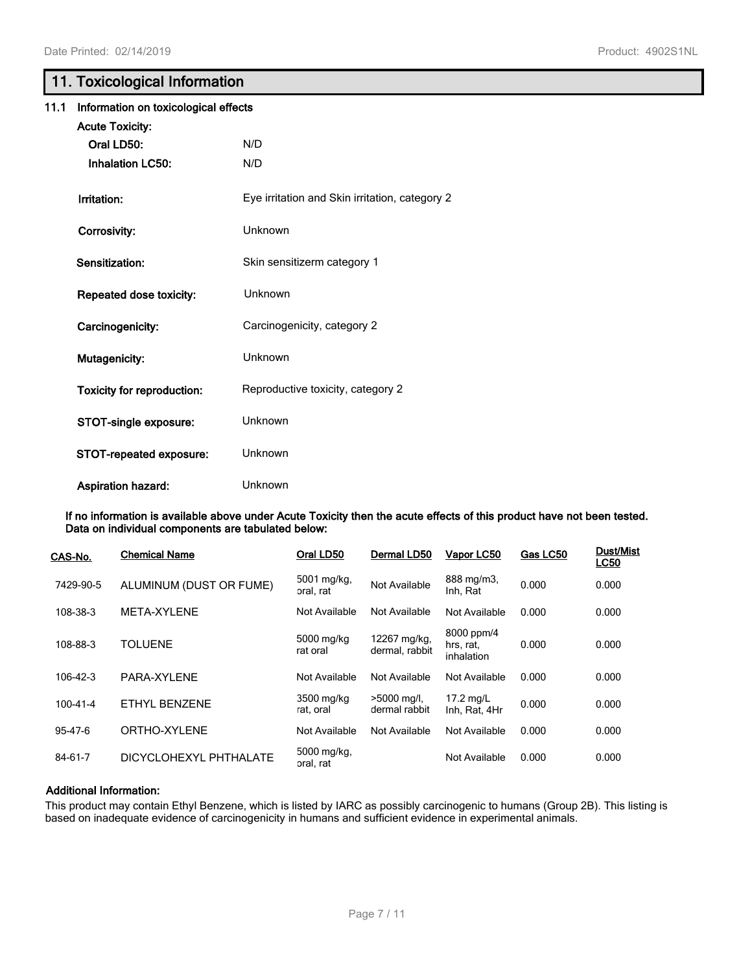## **11. Toxicological Information**

| 11.1 | Information on toxicological effects |                                                |
|------|--------------------------------------|------------------------------------------------|
|      | <b>Acute Toxicity:</b>               |                                                |
|      | Oral LD50:                           | N/D                                            |
|      | <b>Inhalation LC50:</b>              | N/D                                            |
|      | Irritation:                          | Eye irritation and Skin irritation, category 2 |
|      | Corrosivity:                         | Unknown                                        |
|      | Sensitization:                       | Skin sensitizerm category 1                    |
|      | Repeated dose toxicity:              | Unknown                                        |
|      | Carcinogenicity:                     | Carcinogenicity, category 2                    |
|      | Mutagenicity:                        | Unknown                                        |
|      | <b>Toxicity for reproduction:</b>    | Reproductive toxicity, category 2              |
|      | STOT-single exposure:                | Unknown                                        |
|      | STOT-repeated exposure:              | Unknown                                        |
|      | <b>Aspiration hazard:</b>            | Unknown                                        |

**If no information is available above under Acute Toxicity then the acute effects of this product have not been tested. Data on individual components are tabulated below:**

| CAS-No.        | <b>Chemical Name</b>    | Oral LD50                | Dermal LD50                    | Vapor LC50                            | Gas LC50 | <b>Dust/Mist</b><br><b>LC50</b> |
|----------------|-------------------------|--------------------------|--------------------------------|---------------------------------------|----------|---------------------------------|
| 7429-90-5      | ALUMINUM (DUST OR FUME) | 5001 mg/kg,<br>oral, rat | Not Available                  | 888 mg/m3,<br>Inh, Rat                | 0.000    | 0.000                           |
| 108-38-3       | META-XYLENE             | Not Available            | Not Available                  | Not Available                         | 0.000    | 0.000                           |
| 108-88-3       | <b>TOLUENE</b>          | 5000 mg/kg<br>rat oral   | 12267 mg/kg,<br>dermal, rabbit | 8000 ppm/4<br>hrs, rat,<br>inhalation | 0.000    | 0.000                           |
| 106-42-3       | PARA-XYLENE             | Not Available            | Not Available                  | Not Available                         | 0.000    | 0.000                           |
| $100 - 41 - 4$ | ETHYL BENZENE           | 3500 mg/kg<br>rat, oral  | $>5000$ mg/l,<br>dermal rabbit | 17.2 mg/L<br>Inh. Rat. 4Hr            | 0.000    | 0.000                           |
| $95 - 47 - 6$  | ORTHO-XYLENE            | Not Available            | Not Available                  | Not Available                         | 0.000    | 0.000                           |
| 84-61-7        | DICYCLOHEXYL PHTHALATE  | 5000 mg/kg,<br>oral, rat |                                | Not Available                         | 0.000    | 0.000                           |

#### **Additional Information:**

This product may contain Ethyl Benzene, which is listed by IARC as possibly carcinogenic to humans (Group 2B). This listing is based on inadequate evidence of carcinogenicity in humans and sufficient evidence in experimental animals.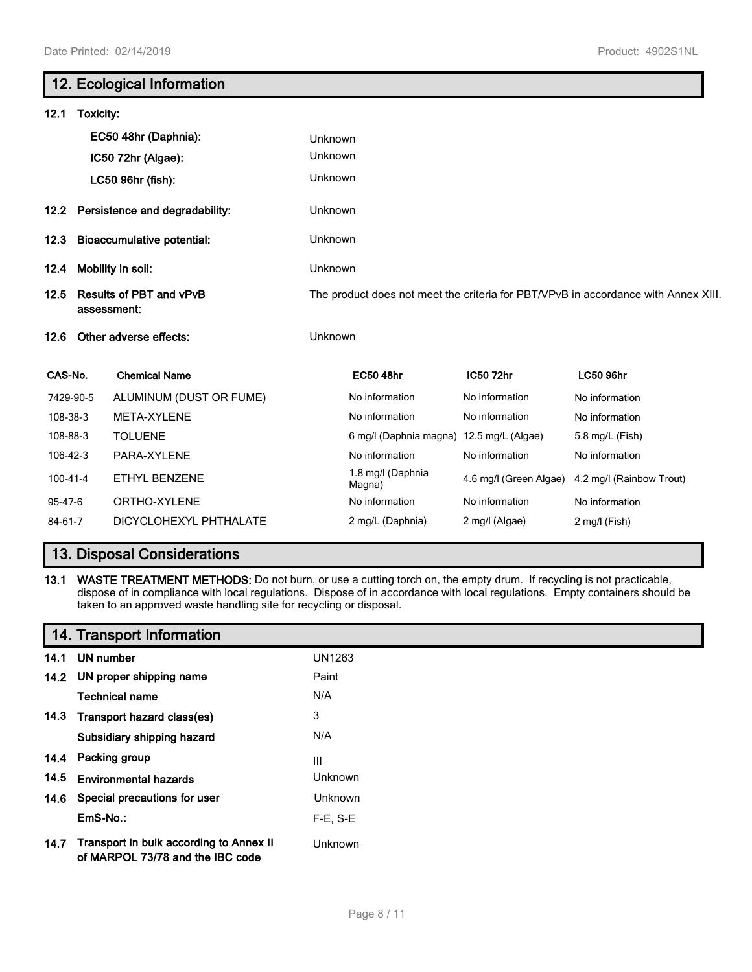# **12. Ecological Information 12.1 Toxicity: EC50 48hr (Daphnia):** Unknown **IC50 72hr (Algae):** Unknown **LC50 96hr (fish):** Unknown **12.2 Persistence and degradability:** Unknown **12.3 Bioaccumulative potential:** Unknown **12.4 Mobility in soil:** Unknown **12.5 Results of PBT and vPvB assessment:** The product does not meet the criteria for PBT/VPvB in accordance with Annex XIII. **12.6 Other adverse effects:** Unknown **CAS-No. Chemical Name EC50 48hr IC50 72hr LC50 96hr** 7429-90-5 ALUMINUM (DUST OR FUME) No information No information No information 108-38-3 META-XYLENE **No information** No information No information No information 108-88-3 TOLUENE **108-88-3** TOLUENE **6 mg/l (Daphnia magna)** 12.5 mg/L (Algae) 5.8 mg/L (Fish) 106-42-3 PARA-XYLENE **No information** No information No information No information 100-41-4 ETHYL BENZENE 1.8 mg/l (Daphnia<br>
Magna) 4.6 mg/l (Green Algae) 4.2 mg/l (Rainbow Trout) 95-47-6 ORTHO-XYLENE **No information** No information No information No information 84-61-7 DICYCLOHEXYL PHTHALATE 2 mg/L (Daphnia) 2 mg/l (Algae) 2 mg/l (Fish)

## **13. Disposal Considerations**

**13.1 WASTE TREATMENT METHODS:** Do not burn, or use a cutting torch on, the empty drum. If recycling is not practicable, dispose of in compliance with local regulations. Dispose of in accordance with local regulations. Empty containers should be taken to an approved waste handling site for recycling or disposal.

|      | 14. Transport Information                                                   |                |
|------|-----------------------------------------------------------------------------|----------------|
|      | 14.1 UN number                                                              | <b>UN1263</b>  |
|      | 14.2 UN proper shipping name                                                | Paint          |
|      | <b>Technical name</b>                                                       | N/A            |
|      | 14.3 Transport hazard class(es)                                             | 3              |
|      | Subsidiary shipping hazard                                                  | N/A            |
|      | 14.4 Packing group                                                          | III            |
| 14.5 | <b>Environmental hazards</b>                                                | Unknown        |
|      | 14.6 Special precautions for user                                           | <b>Unknown</b> |
|      | EmS-No.:                                                                    | $F-E. S-E$     |
| 14.7 | Transport in bulk according to Annex II<br>of MARPOL 73/78 and the IBC code | <b>Unknown</b> |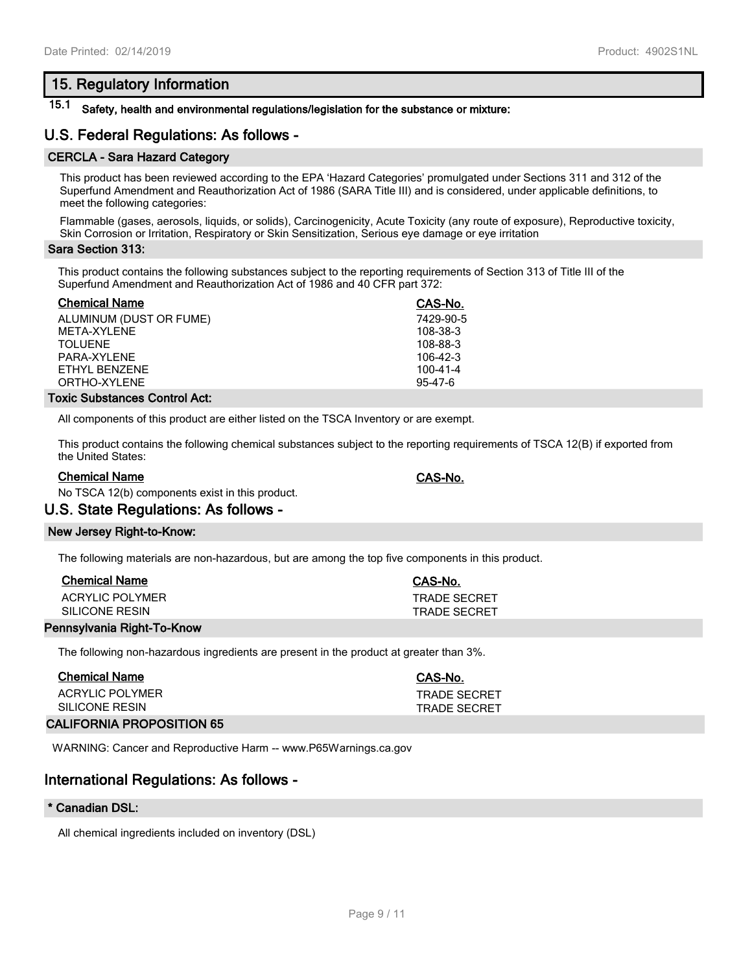## **15. Regulatory Information**

## **15.1 Safety, health and environmental regulations/legislation for the substance or mixture:**

## **U.S. Federal Regulations: As follows -**

### **CERCLA - Sara Hazard Category**

This product has been reviewed according to the EPA 'Hazard Categories' promulgated under Sections 311 and 312 of the Superfund Amendment and Reauthorization Act of 1986 (SARA Title III) and is considered, under applicable definitions, to meet the following categories:

Flammable (gases, aerosols, liquids, or solids), Carcinogenicity, Acute Toxicity (any route of exposure), Reproductive toxicity, Skin Corrosion or Irritation, Respiratory or Skin Sensitization, Serious eye damage or eye irritation

#### **Sara Section 313:**

This product contains the following substances subject to the reporting requirements of Section 313 of Title III of the Superfund Amendment and Reauthorization Act of 1986 and 40 CFR part 372:

| <b>Chemical Name</b>    | CAS-No.        |
|-------------------------|----------------|
| ALUMINUM (DUST OR FUME) | 7429-90-5      |
| META-XYLENE             | 108-38-3       |
| TOI UFNE                | 108-88-3       |
| PARA-XYI FNF            | $106-42-3$     |
| FTHYL BENZENE           | $100 - 41 - 4$ |
| ORTHO-XYLENE            | $95-47-6$      |
|                         |                |

#### **Toxic Substances Control Act:**

All components of this product are either listed on the TSCA Inventory or are exempt.

This product contains the following chemical substances subject to the reporting requirements of TSCA 12(B) if exported from the United States:

#### **Chemical Name CAS-No.**

No TSCA 12(b) components exist in this product.

### **U.S. State Regulations: As follows -**

#### **New Jersey Right-to-Know:**

The following materials are non-hazardous, but are among the top five components in this product.

| <b>Chemical Name</b> | CAS-No.             |
|----------------------|---------------------|
| ACRYLIC POLYMER      | <b>TRADE SECRET</b> |
| SILICONE RESIN       | <b>TRADE SECRET</b> |

#### **Pennsylvania Right-To-Know**

The following non-hazardous ingredients are present in the product at greater than 3%.

| Chemical Name                    | CAS-No.      |
|----------------------------------|--------------|
| ACRYLIC POLYMER                  | TRADE SECRFT |
| SILICONE RESIN                   | TRADE SECRET |
| <b>CALIFORNIA PROPOSITION 65</b> |              |

WARNING: Cancer and Reproductive Harm -- www.P65Warnings.ca.gov

## **International Regulations: As follows -**

#### **\* Canadian DSL:**

All chemical ingredients included on inventory (DSL)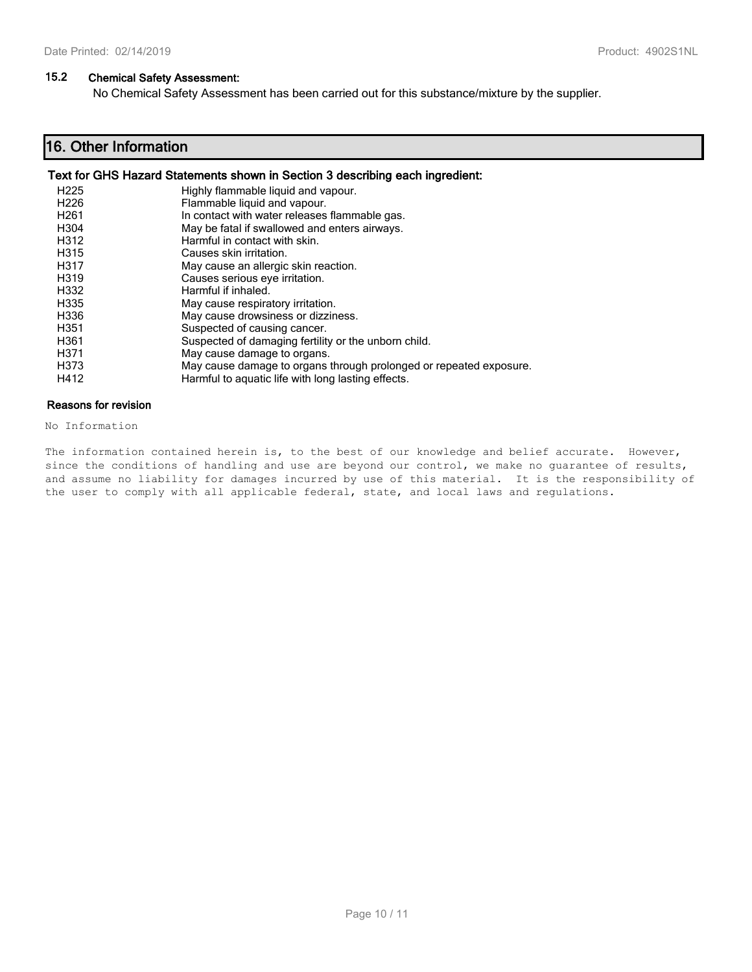### **15.2 Chemical Safety Assessment:**

No Chemical Safety Assessment has been carried out for this substance/mixture by the supplier.

## **16. Other Information**

### **Text for GHS Hazard Statements shown in Section 3 describing each ingredient:**

| H <sub>225</sub> | Highly flammable liquid and vapour.                                |
|------------------|--------------------------------------------------------------------|
| H <sub>226</sub> | Flammable liquid and vapour.                                       |
| H <sub>261</sub> | In contact with water releases flammable gas.                      |
| H <sub>304</sub> | May be fatal if swallowed and enters airways.                      |
| H312             | Harmful in contact with skin.                                      |
| H315             | Causes skin irritation.                                            |
| H317             | May cause an allergic skin reaction.                               |
| H319             | Causes serious eye irritation.                                     |
| H332             | Harmful if inhaled.                                                |
| H335             | May cause respiratory irritation.                                  |
| H336             | May cause drowsiness or dizziness.                                 |
| H351             | Suspected of causing cancer.                                       |
| H361             | Suspected of damaging fertility or the unborn child.               |
| H371             | May cause damage to organs.                                        |
| H373             | May cause damage to organs through prolonged or repeated exposure. |
| H412             | Harmful to aquatic life with long lasting effects.                 |

#### **Reasons for revision**

No Information

The information contained herein is, to the best of our knowledge and belief accurate. However, since the conditions of handling and use are beyond our control, we make no guarantee of results, and assume no liability for damages incurred by use of this material. It is the responsibility of the user to comply with all applicable federal, state, and local laws and regulations.